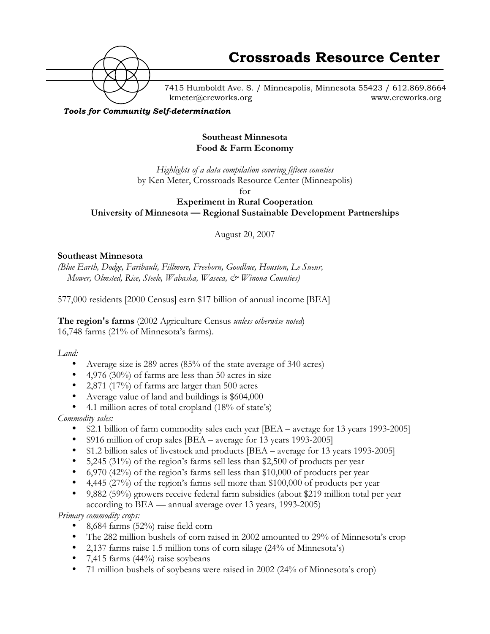

7415 Humboldt Ave. S. / Minneapolis, Minnesota 55423 / 612.869.8664 kmeter@crcworks.org www.crcworks.org

*Tools for Community Self-determination*

### **Southeast Minnesota Food & Farm Economy**

*Highlights of a data compilation covering fifteen counties* by Ken Meter, Crossroads Resource Center (Minneapolis)

for

**Experiment in Rural Cooperation University of Minnesota — Regional Sustainable Development Partnerships**

August 20, 2007

#### **Southeast Minnesota**

*(Blue Earth, Dodge, Faribault, Fillmore, Freeborn, Goodhue, Houston, Le Sueur, Mower, Olmsted, Rice, Steele, Wabasha, Waseca, & Winona Counties)*

577,000 residents [2000 Census] earn \$17 billion of annual income [BEA]

**The region's farms** (2002 Agriculture Census *unless otherwise noted*) 16,748 farms (21% of Minnesota's farms).

*Land:*

Average size is 289 acres (85% of the state average of 340 acres) 4,976 (30%) of farms are less than 50 acres in size 2,871 (17%) of farms are larger than 500 acres Average value of land and buildings is \$604,000 4.1 million acres of total cropland (18% of state's) *Commodity sales:* \$2.1 billion of farm commodity sales each year [BEA – average for 13 years 1993-2005] \$916 million of crop sales [BEA – average for 13 years 1993-2005] \$1.2 billion sales of livestock and products [BEA – average for 13 years 1993-2005] 5,245 (31%) of the region's farms sell less than \$2,500 of products per year 6,970 (42%) of the region's farms sell less than \$10,000 of products per year 4,445 (27%) of the region's farms sell more than \$100,000 of products per year 9,882 (59%) growers receive federal farm subsidies (about \$219 million total per year according to BEA — annual average over 13 years, 1993-2005) *Primary commodity crops:* 8,684 farms (52%) raise field corn The 282 million bushels of corn raised in 2002 amounted to 29% of Minnesota's crop 2,137 farms raise 1.5 million tons of corn silage (24% of Minnesota's) 7,415 farms (44%) raise soybeans 71 million bushels of soybeans were raised in 2002 (24% of Minnesota's crop)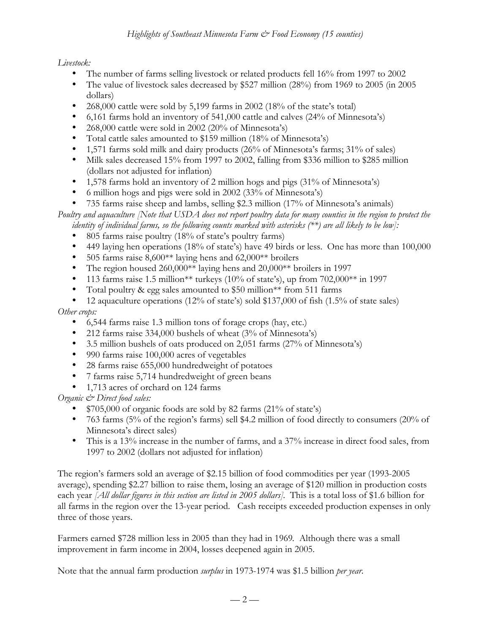*Livestock:*

The number of farms selling livestock or related products fell 16% from 1997 to 2002 The value of livestock sales decreased by \$527 million (28%) from 1969 to 2005 (in 2005 dollars) 268,000 cattle were sold by 5,199 farms in 2002 (18% of the state's total) 6,161 farms hold an inventory of 541,000 cattle and calves (24% of Minnesota's) 268,000 cattle were sold in 2002 (20% of Minnesota's) Total cattle sales amounted to \$159 million (18% of Minnesota's) 1,571 farms sold milk and dairy products (26% of Minnesota's farms; 31% of sales) Milk sales decreased 15% from 1997 to 2002, falling from \$336 million to \$285 million (dollars not adjusted for inflation) 1,578 farms hold an inventory of 2 million hogs and pigs (31% of Minnesota's) 6 million hogs and pigs were sold in 2002 (33% of Minnesota's) 735 farms raise sheep and lambs, selling \$2.3 million (17% of Minnesota's animals) *Poultry and aquaculture [Note that USDA does not report poultry data for many counties in the region to protect the identity of individual farms, so the following counts marked with asterisks (\*\*) are all likely to be low]:* 805 farms raise poultry (18% of state's poultry farms) 449 laying hen operations (18% of state's) have 49 birds or less. One has more than 100,000 505 farms raise 8,600\*\* laying hens and 62,000\*\* broilers The region housed 260,000\*\* laying hens and 20,000\*\* broilers in 1997 113 farms raise 1.5 million\*\* turkeys (10% of state's), up from 702,000\*\* in 1997 Total poultry & egg sales amounted to \$50 million\*\* from 511 farms 12 aquaculture operations (12% of state's) sold \$137,000 of fish (1.5% of state sales) *Other crops:* 6,544 farms raise 1.3 million tons of forage crops (hay, etc.) 212 farms raise 334,000 bushels of wheat (3% of Minnesota's) 3.5 million bushels of oats produced on 2,051 farms (27% of Minnesota's) 990 farms raise 100,000 acres of vegetables 28 farms raise 655,000 hundredweight of potatoes 7 farms raise 5,714 hundredweight of green beans 1,713 acres of orchard on 124 farms *Organic & Direct food sales:* \$705,000 of organic foods are sold by 82 farms (21% of state's) 763 farms (5% of the region's farms) sell \$4.2 million of food directly to consumers (20% of Minnesota's direct sales) This is a 13% increase in the number of farms, and a 37% increase in direct food sales, from 1997 to 2002 (dollars not adjusted for inflation) The region's farmers sold an average of \$2.15 billion of food commodities per year (1993-2005

average), spending \$2.27 billion to raise them, losing an average of \$120 million in production costs each year *[All dollar figures in this section are listed in 2005 dollars]*. This is a total loss of \$1.6 billion for all farms in the region over the 13-year period. Cash receipts exceeded production expenses in only three of those years.

Farmers earned \$728 million less in 2005 than they had in 1969*.* Although there was a small improvement in farm income in 2004, losses deepened again in 2005.

Note that the annual farm production *surplus* in 1973-1974 was \$1.5 billion *per year*.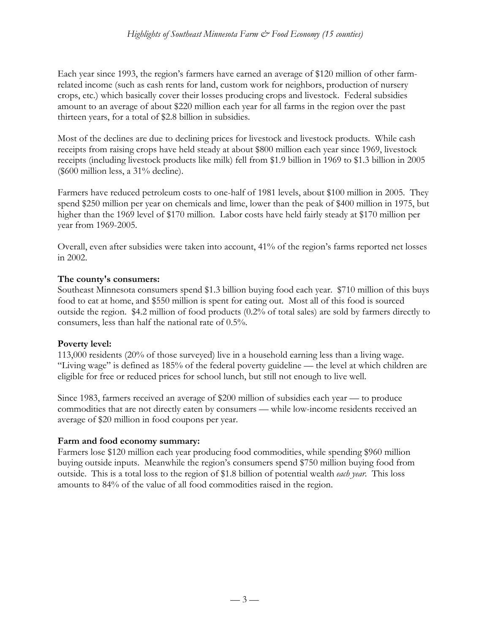Each year since 1993, the region's farmers have earned an average of \$120 million of other farmrelated income (such as cash rents for land, custom work for neighbors, production of nursery crops, etc.) which basically cover their losses producing crops and livestock. Federal subsidies amount to an average of about \$220 million each year for all farms in the region over the past thirteen years, for a total of \$2.8 billion in subsidies.

Most of the declines are due to declining prices for livestock and livestock products. While cash receipts from raising crops have held steady at about \$800 million each year since 1969, livestock receipts (including livestock products like milk) fell from \$1.9 billion in 1969 to \$1.3 billion in 2005 (\$600 million less, a 31% decline).

Farmers have reduced petroleum costs to one-half of 1981 levels, about \$100 million in 2005. They spend \$250 million per year on chemicals and lime, lower than the peak of \$400 million in 1975, but higher than the 1969 level of \$170 million. Labor costs have held fairly steady at \$170 million per year from 1969-2005.

Overall, even after subsidies were taken into account, 41% of the region's farms reported net losses in 2002.

#### **The county's consumers:**

Southeast Minnesota consumers spend \$1.3 billion buying food each year. \$710 million of this buys food to eat at home, and \$550 million is spent for eating out. Most all of this food is sourced outside the region. \$4.2 million of food products (0.2% of total sales) are sold by farmers directly to consumers, less than half the national rate of 0.5%.

#### **Poverty level:**

113,000 residents (20% of those surveyed) live in a household earning less than a living wage. "Living wage" is defined as 185% of the federal poverty guideline — the level at which children are eligible for free or reduced prices for school lunch, but still not enough to live well.

Since 1983, farmers received an average of \$200 million of subsidies each year — to produce commodities that are not directly eaten by consumers — while low-income residents received an average of \$20 million in food coupons per year.

#### **Farm and food economy summary:**

Farmers lose \$120 million each year producing food commodities, while spending \$960 million buying outside inputs. Meanwhile the region's consumers spend \$750 million buying food from outside. This is a total loss to the region of \$1.8 billion of potential wealth *each year*. This loss amounts to 84% of the value of all food commodities raised in the region.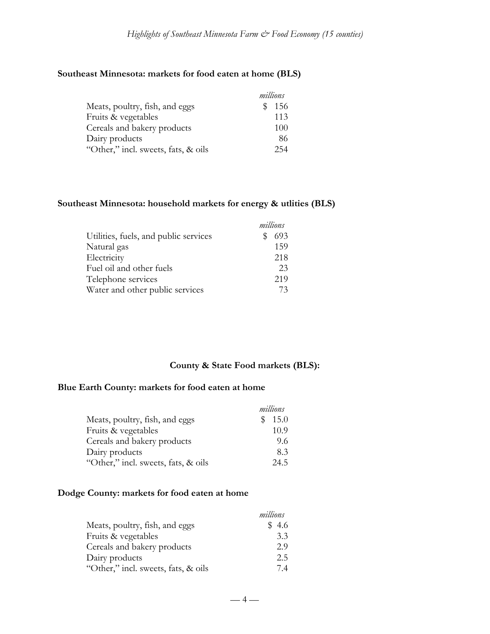### **Southeast Minnesota: markets for food eaten at home (BLS)**

|                                     | millions |
|-------------------------------------|----------|
| Meats, poultry, fish, and eggs      | 156      |
| Fruits & vegetables                 | 113      |
| Cereals and bakery products         | 100      |
| Dairy products                      | 86       |
| "Other," incl. sweets, fats, & oils | 254      |

### **Southeast Minnesota: household markets for energy & utlities (BLS)**

|                                       | millions |
|---------------------------------------|----------|
| Utilities, fuels, and public services | 693<br>S |
| Natural gas                           | 159      |
| Electricity                           | 218      |
| Fuel oil and other fuels              | 23       |
| Telephone services                    | 219      |
| Water and other public services       | 73       |

# **County & State Food markets (BLS):**

#### **Blue Earth County: markets for food eaten at home**

|                                     | millions |
|-------------------------------------|----------|
| Meats, poultry, fish, and eggs      | \$15.0   |
| Fruits & vegetables                 | 10.9     |
| Cereals and bakery products         | 9.6      |
| Dairy products                      | 83       |
| "Other," incl. sweets, fats, & oils | 24.5     |

#### **Dodge County: markets for food eaten at home**

|                                     | millions |
|-------------------------------------|----------|
| Meats, poultry, fish, and eggs      | \$4.6    |
| Fruits & vegetables                 | 3.3      |
| Cereals and bakery products         | 2.9      |
| Dairy products                      | 2.5      |
| "Other," incl. sweets, fats, & oils | 74       |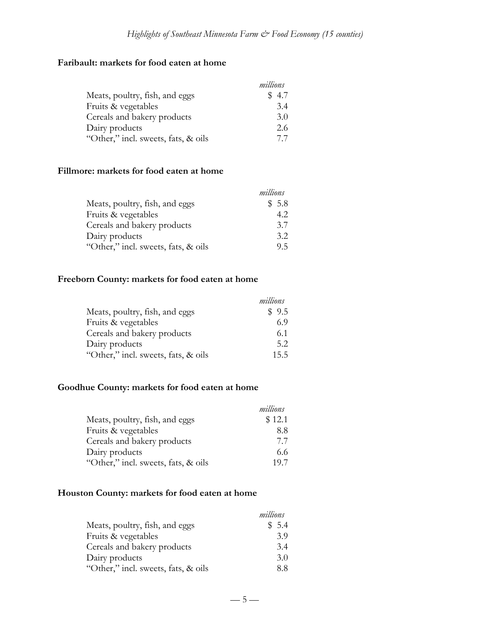# **Faribault: markets for food eaten at home**

|                                     | millions |
|-------------------------------------|----------|
| Meats, poultry, fish, and eggs      | \$4.7    |
| Fruits & vegetables                 | 3.4      |
| Cereals and bakery products         | 3.0      |
| Dairy products                      | 2.6      |
| "Other," incl. sweets, fats, & oils | 77       |

#### **Fillmore: markets for food eaten at home**

|                                     | millions |
|-------------------------------------|----------|
| Meats, poultry, fish, and eggs      | \$5.8    |
| Fruits & vegetables                 | 4.2      |
| Cereals and bakery products         | 3.7      |
| Dairy products                      | 3.2      |
| "Other," incl. sweets, fats, & oils | 95       |

# **Freeborn County: markets for food eaten at home**

|                                     | millions |
|-------------------------------------|----------|
| Meats, poultry, fish, and eggs      | \$9.5    |
| Fruits & vegetables                 | 6.9      |
| Cereals and bakery products         | 6.1      |
| Dairy products                      | 5.2      |
| "Other," incl. sweets, fats, & oils | 15.5     |

# **Goodhue County: markets for food eaten at home**

|                                     | millions |
|-------------------------------------|----------|
| Meats, poultry, fish, and eggs      | \$12.1   |
| Fruits & vegetables                 | 8.8      |
| Cereals and bakery products         | 77       |
| Dairy products                      | 6.6      |
| "Other," incl. sweets, fats, & oils | 197      |

# **Houston County: markets for food eaten at home**

|                                     | millions |
|-------------------------------------|----------|
| Meats, poultry, fish, and eggs      | \$5.4    |
| Fruits & vegetables                 | 3.9      |
| Cereals and bakery products         | 3.4      |
| Dairy products                      | 3.0      |
| "Other," incl. sweets, fats, & oils | 8.8      |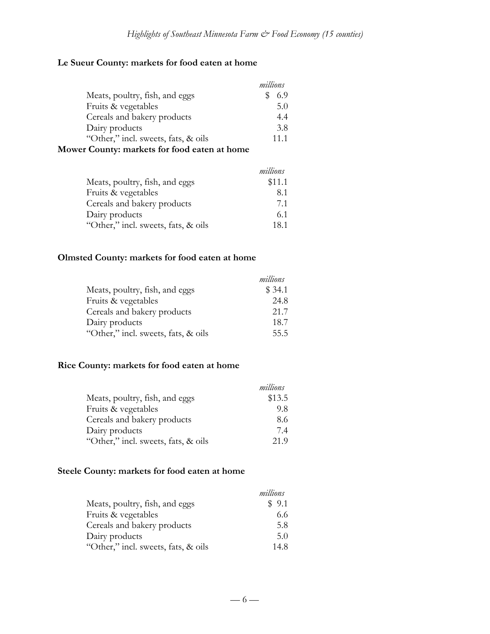# **Le Sueur County: markets for food eaten at home**

|                                              | millions |      |
|----------------------------------------------|----------|------|
| Meats, poultry, fish, and eggs               |          | 6.9  |
| Fruits & vegetables                          |          | 5.0  |
| Cereals and bakery products                  |          | 4.4  |
| Dairy products                               |          | 3.8  |
| "Other," incl. sweets, fats, & oils          |          | 11.1 |
| Mower County: markets for food eaten at home |          |      |

|                                     | millions |
|-------------------------------------|----------|
| Meats, poultry, fish, and eggs      | \$11.1   |
| Fruits & vegetables                 | 8.1      |
| Cereals and bakery products         | 71       |
| Dairy products                      | 6.1      |
| "Other," incl. sweets, fats, & oils | 18.1     |

### **Olmsted County: markets for food eaten at home**

|                                     | millions |
|-------------------------------------|----------|
| Meats, poultry, fish, and eggs      | \$34.1   |
| Fruits & vegetables                 | 24.8     |
| Cereals and bakery products         | 21.7     |
| Dairy products                      | 18.7     |
| "Other," incl. sweets, fats, & oils | 55.5     |

### **Rice County: markets for food eaten at home**

|                                     | millions |
|-------------------------------------|----------|
| Meats, poultry, fish, and eggs      | \$13.5   |
| Fruits & vegetables                 | 9.8      |
| Cereals and bakery products         | 8.6      |
| Dairy products                      | 74       |
| "Other," incl. sweets, fats, & oils | 21.9     |

# **Steele County: markets for food eaten at home**

|                                     | millions |
|-------------------------------------|----------|
| Meats, poultry, fish, and eggs      | \$9.1    |
| Fruits & vegetables                 | 6.6      |
| Cereals and bakery products         | 5.8      |
| Dairy products                      | 5.0      |
| "Other," incl. sweets, fats, & oils | 14.8     |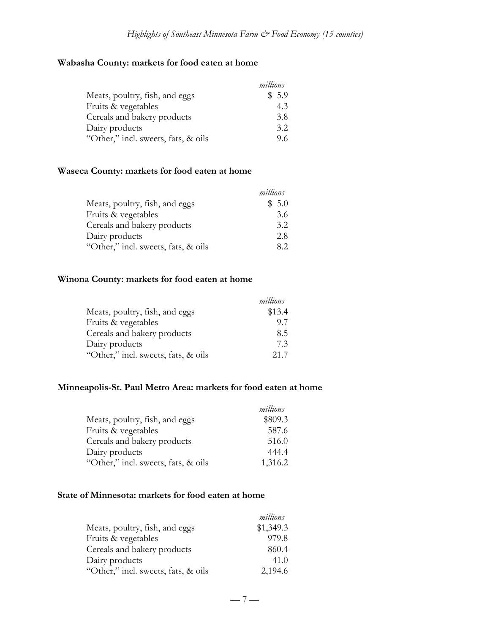### **Wabasha County: markets for food eaten at home**

|                                     | millions |
|-------------------------------------|----------|
| Meats, poultry, fish, and eggs      | \$5.9    |
| Fruits & vegetables                 | 4.3      |
| Cereals and bakery products         | 3.8      |
| Dairy products                      | 3.2      |
| "Other," incl. sweets, fats, & oils | 9.6      |

### **Waseca County: markets for food eaten at home**

|                                     | millions |
|-------------------------------------|----------|
| Meats, poultry, fish, and eggs      | \$5.0    |
| Fruits & vegetables                 | 3.6      |
| Cereals and bakery products         | 3.2      |
| Dairy products                      | 2.8      |
| "Other," incl. sweets, fats, & oils | 82       |

# **Winona County: markets for food eaten at home**

|                                     | millions |
|-------------------------------------|----------|
| Meats, poultry, fish, and eggs      | \$13.4   |
| Fruits & vegetables                 | 97       |
| Cereals and bakery products         | 8.5      |
| Dairy products                      | 73       |
| "Other," incl. sweets, fats, & oils | 21.7     |

### **Minneapolis-St. Paul Metro Area: markets for food eaten at home**

|                                     | millions |
|-------------------------------------|----------|
| Meats, poultry, fish, and eggs      | \$809.3  |
| Fruits & vegetables                 | 587.6    |
| Cereals and bakery products         | 516.0    |
| Dairy products                      | 444.4    |
| "Other," incl. sweets, fats, & oils | 1,316.2  |

#### **State of Minnesota: markets for food eaten at home**

|                                     | millions  |
|-------------------------------------|-----------|
| Meats, poultry, fish, and eggs      | \$1,349.3 |
| Fruits & vegetables                 | 979.8     |
| Cereals and bakery products         | 860.4     |
| Dairy products                      | 41.0      |
| "Other," incl. sweets, fats, & oils | 2,194.6   |